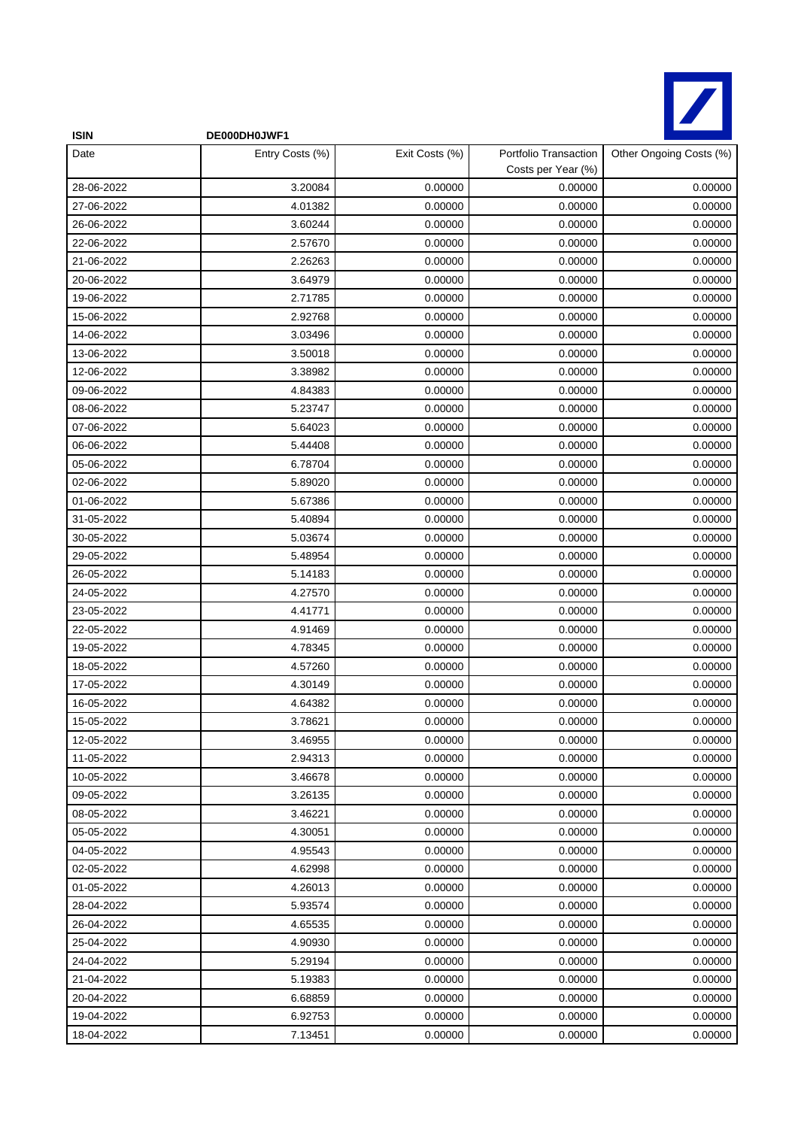

| <b>ISIN</b> | DE000DH0JWF1    |                |                                             |                         |
|-------------|-----------------|----------------|---------------------------------------------|-------------------------|
| Date        | Entry Costs (%) | Exit Costs (%) | Portfolio Transaction<br>Costs per Year (%) | Other Ongoing Costs (%) |
| 28-06-2022  | 3.20084         | 0.00000        | 0.00000                                     | 0.00000                 |
| 27-06-2022  | 4.01382         | 0.00000        | 0.00000                                     | 0.00000                 |
| 26-06-2022  | 3.60244         | 0.00000        | 0.00000                                     | 0.00000                 |
| 22-06-2022  | 2.57670         | 0.00000        | 0.00000                                     | 0.00000                 |
| 21-06-2022  | 2.26263         | 0.00000        | 0.00000                                     | 0.00000                 |
| 20-06-2022  | 3.64979         | 0.00000        | 0.00000                                     | 0.00000                 |
| 19-06-2022  | 2.71785         | 0.00000        | 0.00000                                     | 0.00000                 |
| 15-06-2022  | 2.92768         | 0.00000        | 0.00000                                     | 0.00000                 |
| 14-06-2022  | 3.03496         | 0.00000        | 0.00000                                     | 0.00000                 |
| 13-06-2022  | 3.50018         | 0.00000        | 0.00000                                     | 0.00000                 |
| 12-06-2022  | 3.38982         | 0.00000        | 0.00000                                     | 0.00000                 |
| 09-06-2022  | 4.84383         | 0.00000        | 0.00000                                     | 0.00000                 |
| 08-06-2022  | 5.23747         | 0.00000        | 0.00000                                     | 0.00000                 |
| 07-06-2022  | 5.64023         | 0.00000        | 0.00000                                     | 0.00000                 |
| 06-06-2022  | 5.44408         | 0.00000        | 0.00000                                     | 0.00000                 |
| 05-06-2022  | 6.78704         | 0.00000        | 0.00000                                     | 0.00000                 |
| 02-06-2022  | 5.89020         | 0.00000        | 0.00000                                     | 0.00000                 |
| 01-06-2022  | 5.67386         | 0.00000        | 0.00000                                     | 0.00000                 |
| 31-05-2022  | 5.40894         | 0.00000        | 0.00000                                     | 0.00000                 |
| 30-05-2022  | 5.03674         | 0.00000        | 0.00000                                     | 0.00000                 |
| 29-05-2022  | 5.48954         | 0.00000        | 0.00000                                     | 0.00000                 |
| 26-05-2022  | 5.14183         | 0.00000        | 0.00000                                     | 0.00000                 |
| 24-05-2022  | 4.27570         | 0.00000        | 0.00000                                     | 0.00000                 |
| 23-05-2022  | 4.41771         | 0.00000        | 0.00000                                     | 0.00000                 |
| 22-05-2022  | 4.91469         | 0.00000        | 0.00000                                     | 0.00000                 |
| 19-05-2022  | 4.78345         | 0.00000        | 0.00000                                     | 0.00000                 |
| 18-05-2022  | 4.57260         | 0.00000        | 0.00000                                     | 0.00000                 |
| 17-05-2022  | 4.30149         | 0.00000        | 0.00000                                     | 0.00000                 |
| 16-05-2022  | 4.64382         | 0.00000        | 0.00000                                     | 0.00000                 |
| 15-05-2022  | 3.78621         | 0.00000        | 0.00000                                     | 0.00000                 |
| 12-05-2022  | 3.46955         | 0.00000        | 0.00000                                     | 0.00000                 |
| 11-05-2022  | 2.94313         | 0.00000        | 0.00000                                     | 0.00000                 |
| 10-05-2022  | 3.46678         | 0.00000        | 0.00000                                     | 0.00000                 |
| 09-05-2022  | 3.26135         | 0.00000        | 0.00000                                     | 0.00000                 |
| 08-05-2022  | 3.46221         | 0.00000        | 0.00000                                     | 0.00000                 |
| 05-05-2022  | 4.30051         | 0.00000        | 0.00000                                     | 0.00000                 |
| 04-05-2022  | 4.95543         | 0.00000        | 0.00000                                     | 0.00000                 |
| 02-05-2022  | 4.62998         | 0.00000        | 0.00000                                     | 0.00000                 |
| 01-05-2022  | 4.26013         | 0.00000        | 0.00000                                     | 0.00000                 |
| 28-04-2022  | 5.93574         | 0.00000        | 0.00000                                     | 0.00000                 |
| 26-04-2022  | 4.65535         | 0.00000        | 0.00000                                     | 0.00000                 |
| 25-04-2022  | 4.90930         | 0.00000        | 0.00000                                     | 0.00000                 |
| 24-04-2022  | 5.29194         | 0.00000        | 0.00000                                     | 0.00000                 |
| 21-04-2022  | 5.19383         | 0.00000        | 0.00000                                     | 0.00000                 |
| 20-04-2022  | 6.68859         | 0.00000        | 0.00000                                     | 0.00000                 |
| 19-04-2022  | 6.92753         | 0.00000        | 0.00000                                     | 0.00000                 |
| 18-04-2022  | 7.13451         | 0.00000        | 0.00000                                     | 0.00000                 |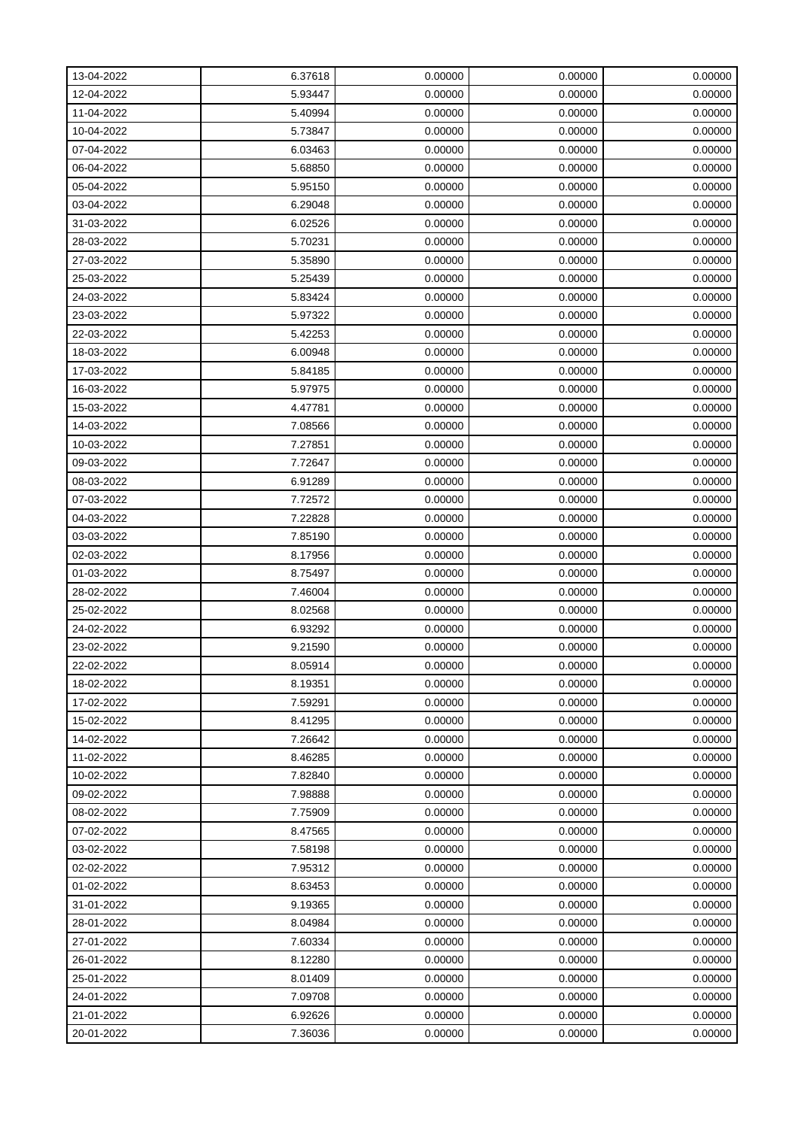| 13-04-2022 | 6.37618 | 0.00000 | 0.00000 | 0.00000 |
|------------|---------|---------|---------|---------|
| 12-04-2022 | 5.93447 | 0.00000 | 0.00000 | 0.00000 |
| 11-04-2022 | 5.40994 | 0.00000 | 0.00000 | 0.00000 |
| 10-04-2022 | 5.73847 | 0.00000 | 0.00000 | 0.00000 |
| 07-04-2022 | 6.03463 | 0.00000 | 0.00000 | 0.00000 |
| 06-04-2022 | 5.68850 | 0.00000 | 0.00000 | 0.00000 |
| 05-04-2022 | 5.95150 | 0.00000 | 0.00000 | 0.00000 |
| 03-04-2022 | 6.29048 | 0.00000 | 0.00000 | 0.00000 |
| 31-03-2022 | 6.02526 | 0.00000 | 0.00000 | 0.00000 |
| 28-03-2022 | 5.70231 | 0.00000 | 0.00000 | 0.00000 |
| 27-03-2022 | 5.35890 | 0.00000 | 0.00000 | 0.00000 |
| 25-03-2022 | 5.25439 | 0.00000 | 0.00000 | 0.00000 |
| 24-03-2022 | 5.83424 | 0.00000 | 0.00000 | 0.00000 |
| 23-03-2022 | 5.97322 | 0.00000 | 0.00000 | 0.00000 |
| 22-03-2022 | 5.42253 | 0.00000 | 0.00000 | 0.00000 |
| 18-03-2022 | 6.00948 | 0.00000 | 0.00000 | 0.00000 |
| 17-03-2022 | 5.84185 | 0.00000 | 0.00000 | 0.00000 |
| 16-03-2022 | 5.97975 | 0.00000 | 0.00000 | 0.00000 |
| 15-03-2022 | 4.47781 | 0.00000 | 0.00000 | 0.00000 |
| 14-03-2022 | 7.08566 | 0.00000 | 0.00000 | 0.00000 |
| 10-03-2022 | 7.27851 | 0.00000 | 0.00000 | 0.00000 |
| 09-03-2022 | 7.72647 | 0.00000 | 0.00000 | 0.00000 |
| 08-03-2022 | 6.91289 | 0.00000 | 0.00000 | 0.00000 |
| 07-03-2022 | 7.72572 | 0.00000 | 0.00000 | 0.00000 |
| 04-03-2022 | 7.22828 | 0.00000 | 0.00000 | 0.00000 |
| 03-03-2022 | 7.85190 | 0.00000 | 0.00000 | 0.00000 |
| 02-03-2022 | 8.17956 | 0.00000 | 0.00000 | 0.00000 |
| 01-03-2022 | 8.75497 | 0.00000 | 0.00000 | 0.00000 |
| 28-02-2022 | 7.46004 | 0.00000 | 0.00000 | 0.00000 |
| 25-02-2022 | 8.02568 | 0.00000 | 0.00000 | 0.00000 |
| 24-02-2022 | 6.93292 | 0.00000 | 0.00000 | 0.00000 |
| 23-02-2022 | 9.21590 | 0.00000 | 0.00000 | 0.00000 |
| 22-02-2022 | 8.05914 | 0.00000 | 0.00000 | 0.00000 |
| 18-02-2022 | 8.19351 | 0.00000 | 0.00000 | 0.00000 |
| 17-02-2022 | 7.59291 | 0.00000 | 0.00000 | 0.00000 |
| 15-02-2022 | 8.41295 | 0.00000 | 0.00000 | 0.00000 |
| 14-02-2022 | 7.26642 | 0.00000 | 0.00000 | 0.00000 |
| 11-02-2022 | 8.46285 | 0.00000 | 0.00000 | 0.00000 |
| 10-02-2022 | 7.82840 | 0.00000 | 0.00000 | 0.00000 |
| 09-02-2022 | 7.98888 | 0.00000 | 0.00000 | 0.00000 |
| 08-02-2022 | 7.75909 | 0.00000 | 0.00000 | 0.00000 |
| 07-02-2022 | 8.47565 | 0.00000 | 0.00000 | 0.00000 |
| 03-02-2022 | 7.58198 | 0.00000 | 0.00000 | 0.00000 |
| 02-02-2022 | 7.95312 | 0.00000 | 0.00000 | 0.00000 |
| 01-02-2022 | 8.63453 | 0.00000 | 0.00000 | 0.00000 |
| 31-01-2022 | 9.19365 | 0.00000 | 0.00000 | 0.00000 |
| 28-01-2022 | 8.04984 | 0.00000 | 0.00000 | 0.00000 |
| 27-01-2022 | 7.60334 | 0.00000 | 0.00000 | 0.00000 |
| 26-01-2022 | 8.12280 | 0.00000 | 0.00000 | 0.00000 |
| 25-01-2022 | 8.01409 | 0.00000 | 0.00000 | 0.00000 |
| 24-01-2022 | 7.09708 | 0.00000 | 0.00000 | 0.00000 |
| 21-01-2022 | 6.92626 | 0.00000 | 0.00000 | 0.00000 |
| 20-01-2022 | 7.36036 | 0.00000 | 0.00000 | 0.00000 |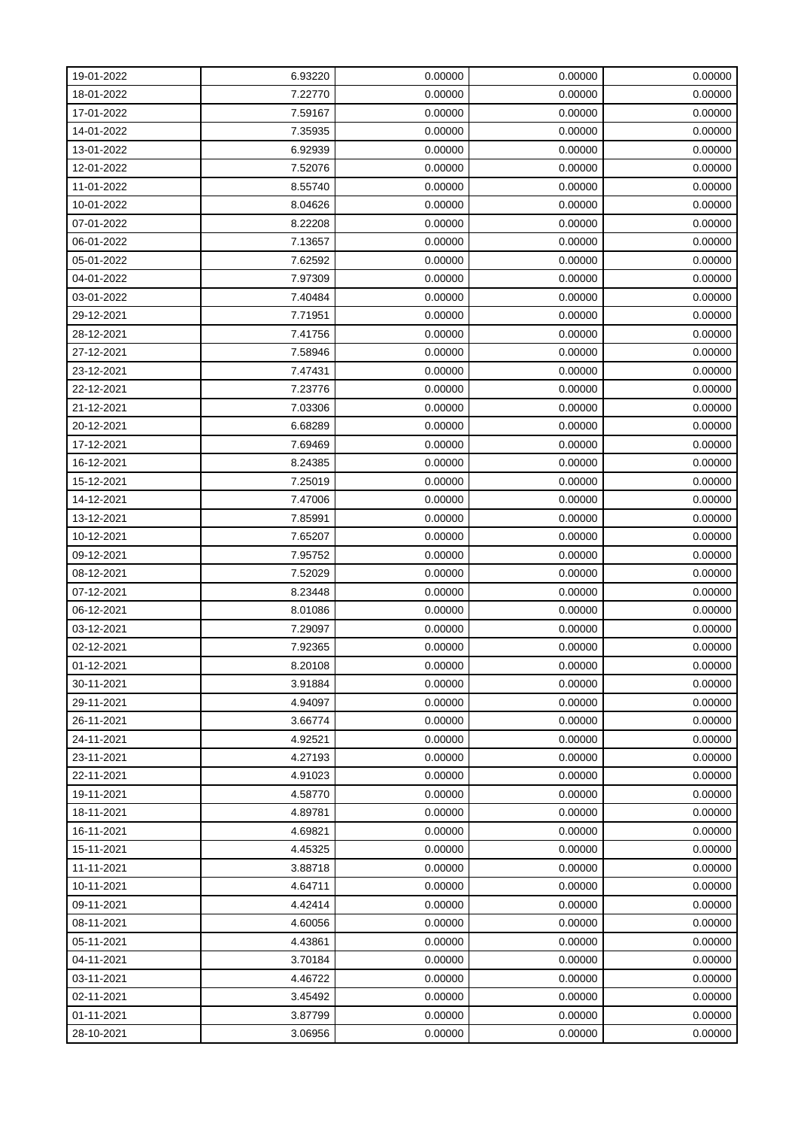| 19-01-2022 | 6.93220 | 0.00000 | 0.00000 | 0.00000 |
|------------|---------|---------|---------|---------|
| 18-01-2022 | 7.22770 | 0.00000 | 0.00000 | 0.00000 |
| 17-01-2022 | 7.59167 | 0.00000 | 0.00000 | 0.00000 |
| 14-01-2022 | 7.35935 | 0.00000 | 0.00000 | 0.00000 |
| 13-01-2022 | 6.92939 | 0.00000 | 0.00000 | 0.00000 |
| 12-01-2022 | 7.52076 | 0.00000 | 0.00000 | 0.00000 |
| 11-01-2022 | 8.55740 | 0.00000 | 0.00000 | 0.00000 |
| 10-01-2022 | 8.04626 | 0.00000 | 0.00000 | 0.00000 |
| 07-01-2022 | 8.22208 | 0.00000 | 0.00000 | 0.00000 |
| 06-01-2022 | 7.13657 | 0.00000 | 0.00000 | 0.00000 |
| 05-01-2022 | 7.62592 | 0.00000 | 0.00000 | 0.00000 |
| 04-01-2022 | 7.97309 | 0.00000 | 0.00000 | 0.00000 |
| 03-01-2022 | 7.40484 | 0.00000 | 0.00000 | 0.00000 |
| 29-12-2021 | 7.71951 | 0.00000 | 0.00000 | 0.00000 |
| 28-12-2021 | 7.41756 | 0.00000 | 0.00000 | 0.00000 |
| 27-12-2021 | 7.58946 | 0.00000 | 0.00000 | 0.00000 |
| 23-12-2021 | 7.47431 | 0.00000 | 0.00000 | 0.00000 |
| 22-12-2021 | 7.23776 | 0.00000 | 0.00000 | 0.00000 |
| 21-12-2021 | 7.03306 | 0.00000 | 0.00000 | 0.00000 |
| 20-12-2021 | 6.68289 | 0.00000 | 0.00000 | 0.00000 |
| 17-12-2021 | 7.69469 | 0.00000 | 0.00000 | 0.00000 |
| 16-12-2021 | 8.24385 | 0.00000 | 0.00000 | 0.00000 |
| 15-12-2021 | 7.25019 | 0.00000 | 0.00000 | 0.00000 |
| 14-12-2021 | 7.47006 | 0.00000 | 0.00000 | 0.00000 |
| 13-12-2021 | 7.85991 | 0.00000 | 0.00000 | 0.00000 |
| 10-12-2021 | 7.65207 | 0.00000 | 0.00000 | 0.00000 |
| 09-12-2021 | 7.95752 | 0.00000 | 0.00000 | 0.00000 |
| 08-12-2021 | 7.52029 | 0.00000 | 0.00000 | 0.00000 |
| 07-12-2021 | 8.23448 | 0.00000 | 0.00000 | 0.00000 |
| 06-12-2021 | 8.01086 | 0.00000 | 0.00000 | 0.00000 |
| 03-12-2021 | 7.29097 | 0.00000 | 0.00000 | 0.00000 |
| 02-12-2021 | 7.92365 | 0.00000 | 0.00000 | 0.00000 |
| 01-12-2021 | 8.20108 | 0.00000 | 0.00000 | 0.00000 |
| 30-11-2021 | 3.91884 | 0.00000 | 0.00000 | 0.00000 |
| 29-11-2021 | 4.94097 | 0.00000 | 0.00000 | 0.00000 |
| 26-11-2021 | 3.66774 | 0.00000 | 0.00000 | 0.00000 |
| 24-11-2021 | 4.92521 | 0.00000 | 0.00000 | 0.00000 |
| 23-11-2021 | 4.27193 | 0.00000 | 0.00000 | 0.00000 |
| 22-11-2021 | 4.91023 | 0.00000 | 0.00000 | 0.00000 |
| 19-11-2021 | 4.58770 | 0.00000 | 0.00000 | 0.00000 |
| 18-11-2021 | 4.89781 | 0.00000 | 0.00000 | 0.00000 |
| 16-11-2021 | 4.69821 | 0.00000 | 0.00000 | 0.00000 |
| 15-11-2021 | 4.45325 | 0.00000 | 0.00000 | 0.00000 |
| 11-11-2021 | 3.88718 | 0.00000 | 0.00000 | 0.00000 |
| 10-11-2021 | 4.64711 | 0.00000 | 0.00000 | 0.00000 |
| 09-11-2021 | 4.42414 | 0.00000 | 0.00000 | 0.00000 |
| 08-11-2021 | 4.60056 | 0.00000 | 0.00000 | 0.00000 |
| 05-11-2021 | 4.43861 | 0.00000 | 0.00000 | 0.00000 |
| 04-11-2021 | 3.70184 | 0.00000 | 0.00000 | 0.00000 |
| 03-11-2021 | 4.46722 | 0.00000 | 0.00000 | 0.00000 |
| 02-11-2021 | 3.45492 | 0.00000 | 0.00000 | 0.00000 |
| 01-11-2021 | 3.87799 | 0.00000 | 0.00000 | 0.00000 |
| 28-10-2021 | 3.06956 | 0.00000 | 0.00000 | 0.00000 |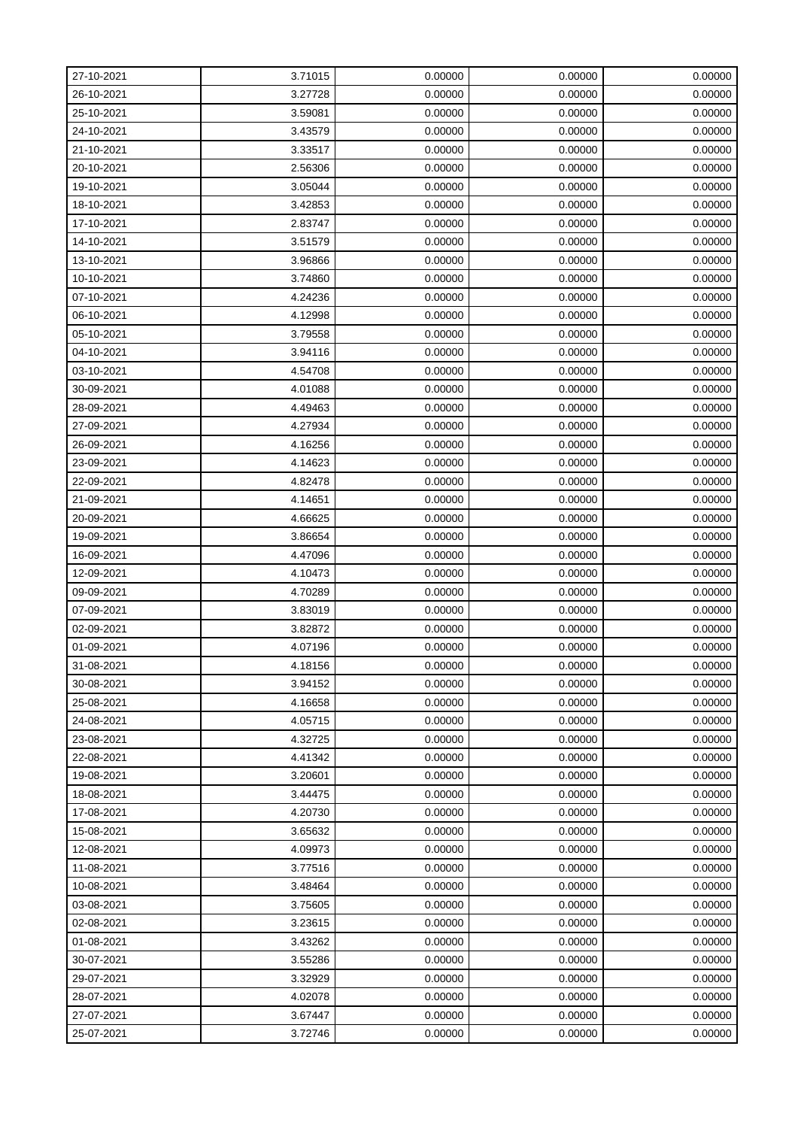| 27-10-2021 | 3.71015 | 0.00000 | 0.00000 | 0.00000 |
|------------|---------|---------|---------|---------|
| 26-10-2021 | 3.27728 | 0.00000 | 0.00000 | 0.00000 |
| 25-10-2021 | 3.59081 | 0.00000 | 0.00000 | 0.00000 |
| 24-10-2021 | 3.43579 | 0.00000 | 0.00000 | 0.00000 |
| 21-10-2021 | 3.33517 | 0.00000 | 0.00000 | 0.00000 |
| 20-10-2021 | 2.56306 | 0.00000 | 0.00000 | 0.00000 |
| 19-10-2021 | 3.05044 | 0.00000 | 0.00000 | 0.00000 |
| 18-10-2021 | 3.42853 | 0.00000 | 0.00000 | 0.00000 |
| 17-10-2021 | 2.83747 | 0.00000 | 0.00000 | 0.00000 |
| 14-10-2021 | 3.51579 | 0.00000 | 0.00000 | 0.00000 |
| 13-10-2021 | 3.96866 | 0.00000 | 0.00000 | 0.00000 |
| 10-10-2021 | 3.74860 | 0.00000 | 0.00000 | 0.00000 |
| 07-10-2021 | 4.24236 | 0.00000 | 0.00000 | 0.00000 |
| 06-10-2021 | 4.12998 | 0.00000 | 0.00000 | 0.00000 |
| 05-10-2021 | 3.79558 | 0.00000 | 0.00000 | 0.00000 |
| 04-10-2021 | 3.94116 | 0.00000 | 0.00000 | 0.00000 |
| 03-10-2021 | 4.54708 | 0.00000 | 0.00000 | 0.00000 |
| 30-09-2021 | 4.01088 | 0.00000 | 0.00000 | 0.00000 |
| 28-09-2021 | 4.49463 | 0.00000 | 0.00000 | 0.00000 |
| 27-09-2021 | 4.27934 | 0.00000 | 0.00000 | 0.00000 |
| 26-09-2021 | 4.16256 | 0.00000 | 0.00000 | 0.00000 |
| 23-09-2021 | 4.14623 | 0.00000 | 0.00000 | 0.00000 |
| 22-09-2021 | 4.82478 | 0.00000 | 0.00000 | 0.00000 |
| 21-09-2021 | 4.14651 | 0.00000 | 0.00000 | 0.00000 |
| 20-09-2021 | 4.66625 | 0.00000 | 0.00000 | 0.00000 |
| 19-09-2021 | 3.86654 | 0.00000 | 0.00000 | 0.00000 |
| 16-09-2021 | 4.47096 | 0.00000 | 0.00000 | 0.00000 |
| 12-09-2021 | 4.10473 | 0.00000 | 0.00000 | 0.00000 |
| 09-09-2021 | 4.70289 | 0.00000 | 0.00000 | 0.00000 |
| 07-09-2021 | 3.83019 | 0.00000 | 0.00000 | 0.00000 |
| 02-09-2021 | 3.82872 | 0.00000 | 0.00000 | 0.00000 |
| 01-09-2021 | 4.07196 | 0.00000 | 0.00000 | 0.00000 |
| 31-08-2021 | 4.18156 | 0.00000 | 0.00000 | 0.00000 |
| 30-08-2021 | 3.94152 | 0.00000 | 0.00000 | 0.00000 |
| 25-08-2021 | 4.16658 | 0.00000 | 0.00000 | 0.00000 |
| 24-08-2021 | 4.05715 | 0.00000 | 0.00000 | 0.00000 |
| 23-08-2021 | 4.32725 | 0.00000 | 0.00000 | 0.00000 |
| 22-08-2021 | 4.41342 | 0.00000 | 0.00000 | 0.00000 |
| 19-08-2021 | 3.20601 | 0.00000 | 0.00000 | 0.00000 |
| 18-08-2021 | 3.44475 | 0.00000 | 0.00000 | 0.00000 |
| 17-08-2021 | 4.20730 | 0.00000 | 0.00000 | 0.00000 |
| 15-08-2021 | 3.65632 | 0.00000 | 0.00000 | 0.00000 |
| 12-08-2021 | 4.09973 | 0.00000 | 0.00000 | 0.00000 |
| 11-08-2021 | 3.77516 | 0.00000 | 0.00000 | 0.00000 |
| 10-08-2021 | 3.48464 | 0.00000 | 0.00000 | 0.00000 |
| 03-08-2021 | 3.75605 | 0.00000 | 0.00000 | 0.00000 |
| 02-08-2021 | 3.23615 | 0.00000 | 0.00000 | 0.00000 |
| 01-08-2021 | 3.43262 | 0.00000 | 0.00000 | 0.00000 |
| 30-07-2021 | 3.55286 | 0.00000 | 0.00000 | 0.00000 |
| 29-07-2021 | 3.32929 | 0.00000 | 0.00000 | 0.00000 |
| 28-07-2021 | 4.02078 | 0.00000 | 0.00000 | 0.00000 |
| 27-07-2021 | 3.67447 | 0.00000 | 0.00000 | 0.00000 |
| 25-07-2021 | 3.72746 | 0.00000 | 0.00000 | 0.00000 |